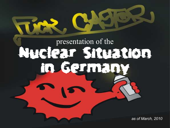# presentation of the Nuclear Situation in Germany

*as of March, 2010*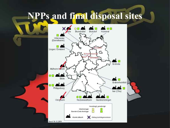#### **NPPs and final disposal sites**

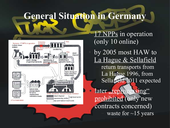#### **General Situation in Germany**



17 NPPs in operation (only 10 online)

by 2005 most HAW to La Hague & Sellafield return transports from La Hague 1996, from Sellafield 2011 expected

later "reprocessing" prohibited (only new contracts concerned) waste for  $\sim$ 15 years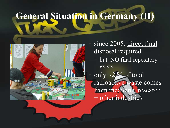# **General Situation in Germany (II)**



since 2005: direct final disposal required but: NO final repository exists only ~2 % of total radioactive waste comes from medicine, research + other industries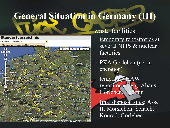#### **General Situation in Germany (III)**



waste facilities:

temporary repositories at several NPPs & nuclear factories

PKA Gorleben (not in operation)

temporary HAW repositories, e.g. Ahaus, Gorleben, Lubmin

– final disposal sites: Asse II, Morsleben, Schacht Konrad, Gorleben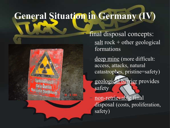## **General Situation in Germany (IV)**



Sperroefeich Kein Zntrin Vorsicht Strahlung

final disposal concepts:  $salt rock + other geological$ formations

deep mine (more difficult: access, attacks, natural catastrophes, pristine=safety)

– geological barrier provides safety

non-retrievable final disposal (costs, proliferation, safety)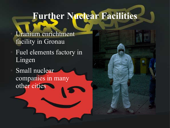#### **Further Nuclear Facilities**

Uranium enrichtment facility in Gronau

- Fuel elements factory in Lingen
- Small nuclear companies in many other cities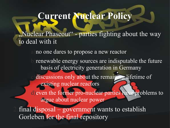#### **Current Nuclear Policy**

"Nuclear Phaseout" - parties fighting about the way to deal with it

no one dares to propose a new reactor

renewable energy sources are indisputable the future basis of electricity generation in Germany

discussions only about the remaining lifetime of existing nuclear reactors

d)even the former pro-nuclear parties have problems to argue about nuclear power

 $final$  disposal – government wants to establish Gorleben for the final repository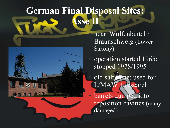#### **German Final Disposal Sites: Asse**



near Wolfenbüttel / Braunschweig (Lower Saxony) operation started 1965; stopped 1978/1995 old salt mine; used for L/MAW + research

barrels dumped into reposition cavities (many damaged)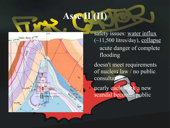#### **Asse II (II)**



safety issues: water influx  $(-11,500$  litres/day), collapse – acute danger of complete flooding

doesn't meet requirements of nuclear law / no public consultation

nearly each week a new scandal becomes public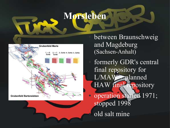#### **Morsleben**



between Braunschweig and Magdeburg (Sachsen-Anhalt)

formerly GDR's central final repository for L/MAW - planned HAW final repository

operation started 1971; stopped 1998 old salt mine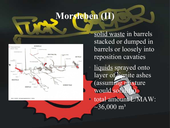#### **Morsleben (II)**



Abb. 8: ERAM - Einlagerungsbereiche, 4. Sohle

solid waste in barrels stacked or dumped in barrels or loosely into reposition cavaties

liquids sprayed onto layer of lignite ashes (assuming mixture would solidi ● total amount L/MAW:

 $\approx$ 36,000 m<sup>3</sup>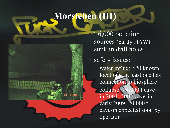#### **Morsleben (III)**

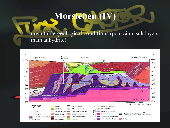#### **Morsleben (IV)**

#### – unsuitable geological conditions (potassium salt layers, main anhydrite)

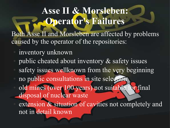#### **Asse II & Morsleben: Operator's Failures**

Both Asse II and Morsleben are affected by problems caused by the operator of the repositories:

- inventory unknown
- public cheated about inventory  $\&$  safety issues
- safety issues wellknown from the very beginning
- no public consultations in site selection
- old mines (over 100 years) not suitable for final disposal of nuclear waste
	- extension & situation of cavities not completely and not in detail known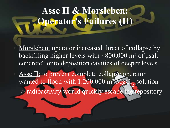#### **Asse II & Morsleben: Operator's Failures (II)**

Morsleben: operator increased threat of collapse by backfilling higher levels with  $\sim 800,000$  m<sup>3</sup> of  $\sqrt{s}$  saltconcrete" onto deposition cavities of deeper levels

Asse II: to prevent complete collapse operator wanted to flood with 1.200.000 m<sup>3</sup> MgCl 2 -solution -> radioactivity would quickly escape the repository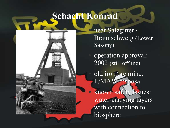#### **Schacht Konrad**



near Salzgitter / Braunschweig (Lower Saxony) operation approval: 2002 (still offline) old iron ore mine; L/MAW disposal known safety issues: water-carrying layers with connection to biosphere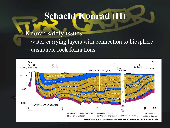#### **Schacht Konrad (II)**

#### Known safety issues:

water-carrying layers with connection to biosphere unsuitable rock formations

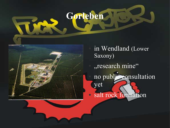### **Gorleben**



in Wendland (Lower Saxony) "research mine" no public consultation yet ● salt rock formation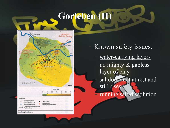#### **Gorleben (II)**



Known safety issues: water-carrying layers – no mighty & gapless layer of clay saltdome not at rest and still rises – running salt-dissolution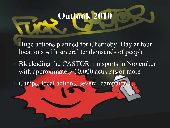#### **Outlook 2010**

Huge actions planned for Chernobyl Day at four locations with several tenthousands of people

Blockading the CASTOR transports in November with approximately 10,000 activists or more

Camps, local actions, several campaign.